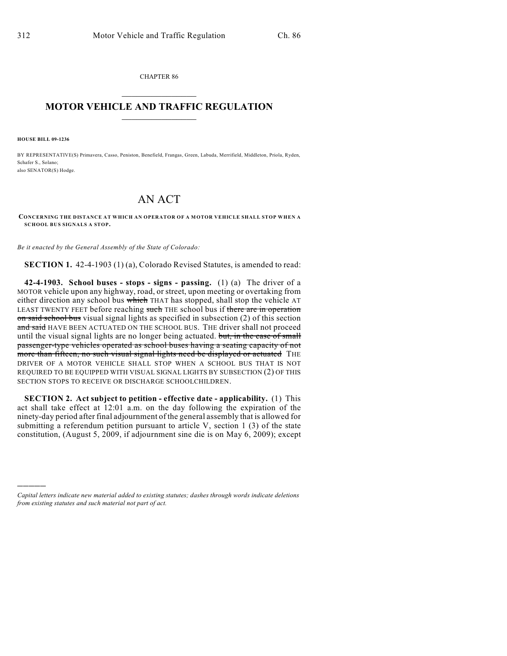CHAPTER 86  $\overline{\phantom{a}}$  . The set of the set of the set of the set of the set of the set of the set of the set of the set of the set of the set of the set of the set of the set of the set of the set of the set of the set of the set o

## **MOTOR VEHICLE AND TRAFFIC REGULATION**  $\frac{1}{2}$  ,  $\frac{1}{2}$  ,  $\frac{1}{2}$  ,  $\frac{1}{2}$  ,  $\frac{1}{2}$  ,  $\frac{1}{2}$  ,  $\frac{1}{2}$  ,  $\frac{1}{2}$

**HOUSE BILL 09-1236**

)))))

BY REPRESENTATIVE(S) Primavera, Casso, Peniston, Benefield, Frangas, Green, Labuda, Merrifield, Middleton, Priola, Ryden, Schafer S., Solano; also SENATOR(S) Hodge.

## AN ACT

**CONCERNING THE DISTANCE AT WHICH AN OPERATOR OF A MOTOR VEHICLE SHALL STOP WHEN A SCHOOL BUS SIGNALS A STOP.**

*Be it enacted by the General Assembly of the State of Colorado:*

**SECTION 1.** 42-4-1903 (1) (a), Colorado Revised Statutes, is amended to read:

**42-4-1903. School buses - stops - signs - passing.** (1) (a) The driver of a MOTOR vehicle upon any highway, road, or street, upon meeting or overtaking from either direction any school bus which THAT has stopped, shall stop the vehicle AT LEAST TWENTY FEET before reaching such THE school bus if there are in operation on said school bus visual signal lights as specified in subsection (2) of this section and said HAVE BEEN ACTUATED ON THE SCHOOL BUS. THE driver shall not proceed until the visual signal lights are no longer being actuated. but, in the case of small passenger-type vehicles operated as school buses having a seating capacity of not more than fifteen, no such visual signal lights need be displayed or actuated THE DRIVER OF A MOTOR VEHICLE SHALL STOP WHEN A SCHOOL BUS THAT IS NOT REQUIRED TO BE EQUIPPED WITH VISUAL SIGNAL LIGHTS BY SUBSECTION (2) OF THIS SECTION STOPS TO RECEIVE OR DISCHARGE SCHOOLCHILDREN.

**SECTION 2. Act subject to petition - effective date - applicability.** (1) This act shall take effect at 12:01 a.m. on the day following the expiration of the ninety-day period after final adjournment of the general assembly that is allowed for submitting a referendum petition pursuant to article V, section 1 (3) of the state constitution, (August 5, 2009, if adjournment sine die is on May 6, 2009); except

*Capital letters indicate new material added to existing statutes; dashes through words indicate deletions from existing statutes and such material not part of act.*